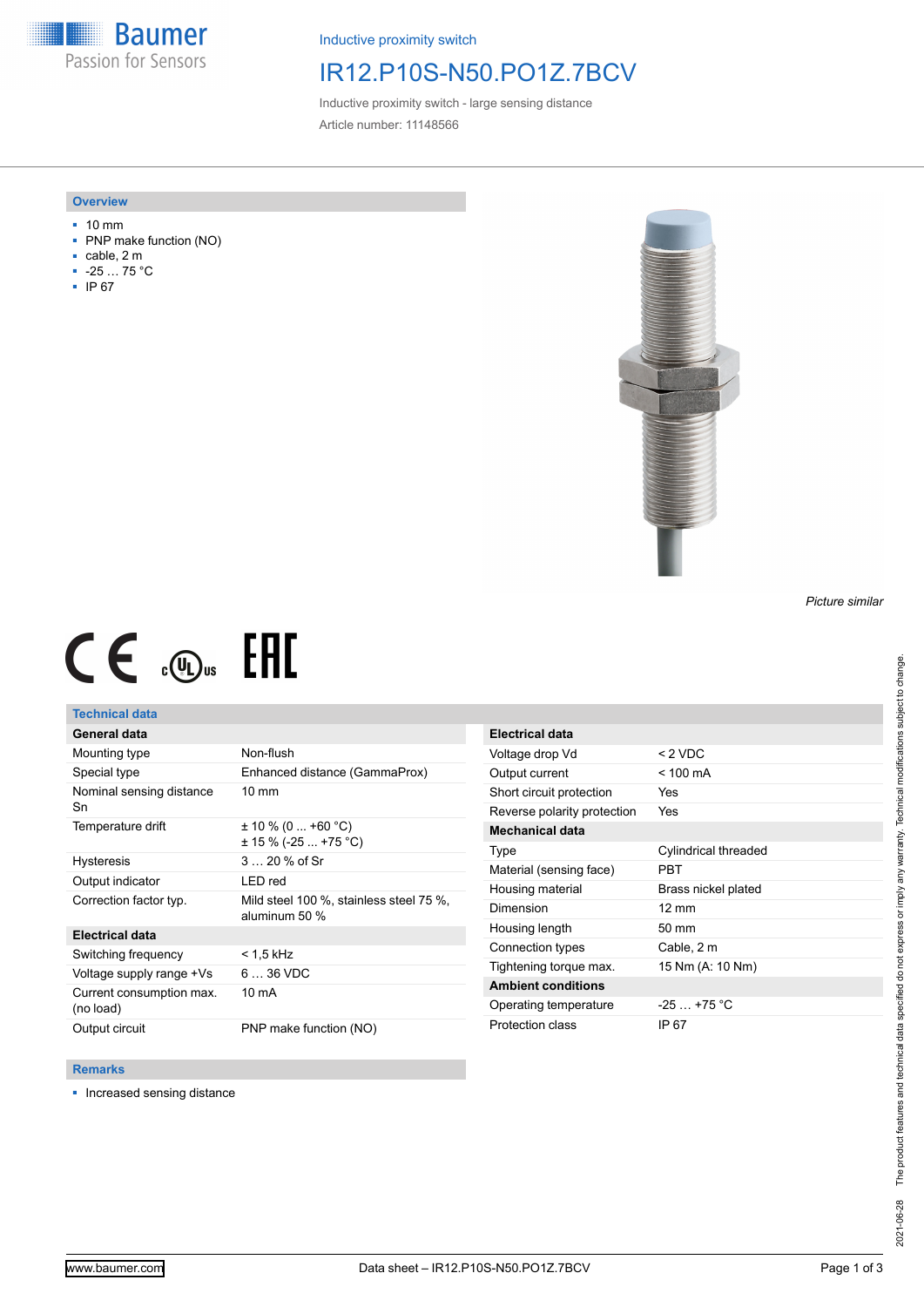**Baumer** Passion for Sensors

Inductive proximity switch

# IR12.P10S-N50.PO1Z.7BCV

Inductive proximity switch - large sensing distance Article number: 11148566

### **Overview**

- 10 mm
- PNP make function (NO)
- cable, 2 m
- -25 … 75 °C
- IP 67



### *Picture similar*

# $CE \mathcal{L}$  ( $\mathcal{L}$  and  $SE$

## **Technical data**

## **General data**

| Mounting type                         | Non-flush                                          |
|---------------------------------------|----------------------------------------------------|
| Special type                          | Enhanced distance (GammaProx)                      |
| Nominal sensing distance<br>Sn        | $10 \text{ mm}$                                    |
| Temperature drift                     | $\pm$ 10 % (0  +60 °C)<br>$\pm$ 15 % (-25  +75 °C) |
| <b>Hysteresis</b>                     | $320%$ of Sr                                       |
| Output indicator                      | LED red                                            |
| Correction factor typ.                | Mild steel 100 %, stainless steel 75 %,            |
|                                       | aluminum 50 %                                      |
| Electrical data                       |                                                    |
| Switching frequency                   | < 1.5 kHz                                          |
| Voltage supply range +Vs              | $636$ VDC                                          |
| Current consumption max.<br>(no load) | 10 mA                                              |

| Electrical data             |                      |
|-----------------------------|----------------------|
| Voltage drop Vd             | $<$ 2 VDC            |
| Output current              | $< 100 \text{ mA}$   |
| Short circuit protection    | Yes                  |
| Reverse polarity protection | Yes                  |
| Mechanical data             |                      |
| Type                        | Cylindrical threaded |
| Material (sensing face)     | PRT                  |
| Housing material            | Brass nickel plated  |
| Dimension                   | $12 \text{ mm}$      |
| Housing length              | $50 \text{ mm}$      |
| Connection types            | Cable, 2 m           |
| Tightening torque max.      | 15 Nm (A: 10 Nm)     |
| <b>Ambient conditions</b>   |                      |
| Operating temperature       | $-25$ $+75$ °C       |
| Protection class            | IP 67                |

#### **Remarks**

■ Increased sensing distance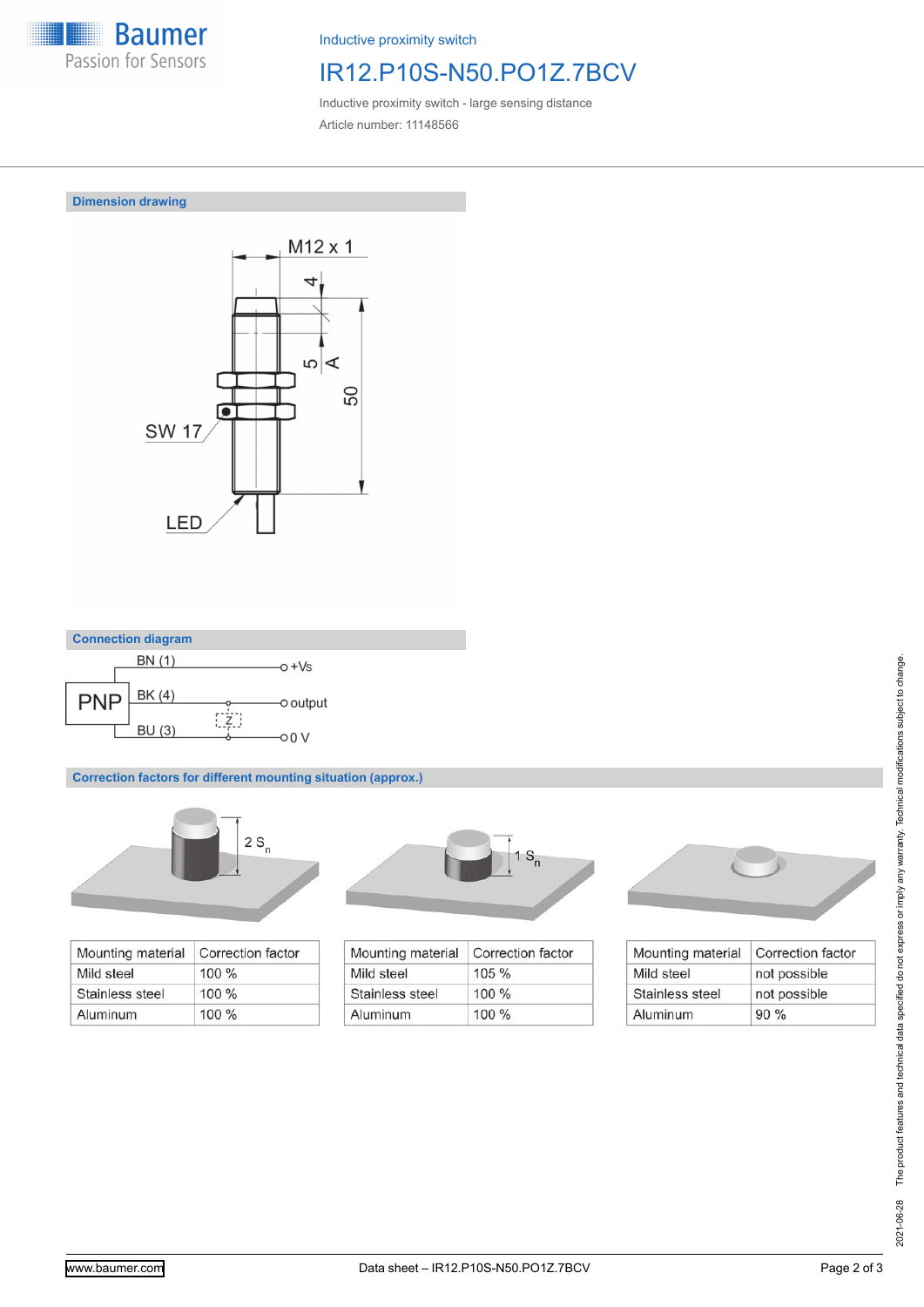

Inductive proximity switch

# IR12.P10S-N50.PO1Z.7BCV

Inductive proximity switch - large sensing distance Article number: 11148566

## **Dimension drawing**





**Correction factors for different mounting situation (approx.)**



| Mounting material | Correction factor |
|-------------------|-------------------|
| Mild steel        | $100\%$           |
| Stainless steel   | $100\%$           |
| Aluminum          | 100%              |



| Correction factor |
|-------------------|
| $105 \%$          |
| $100 \%$          |
| $100 \%$          |
|                   |



| Mounting material | Correction factor |
|-------------------|-------------------|
| Mild steel        | not possible      |
| Stainless steel   | not possible      |
| Aluminum          | 90%               |